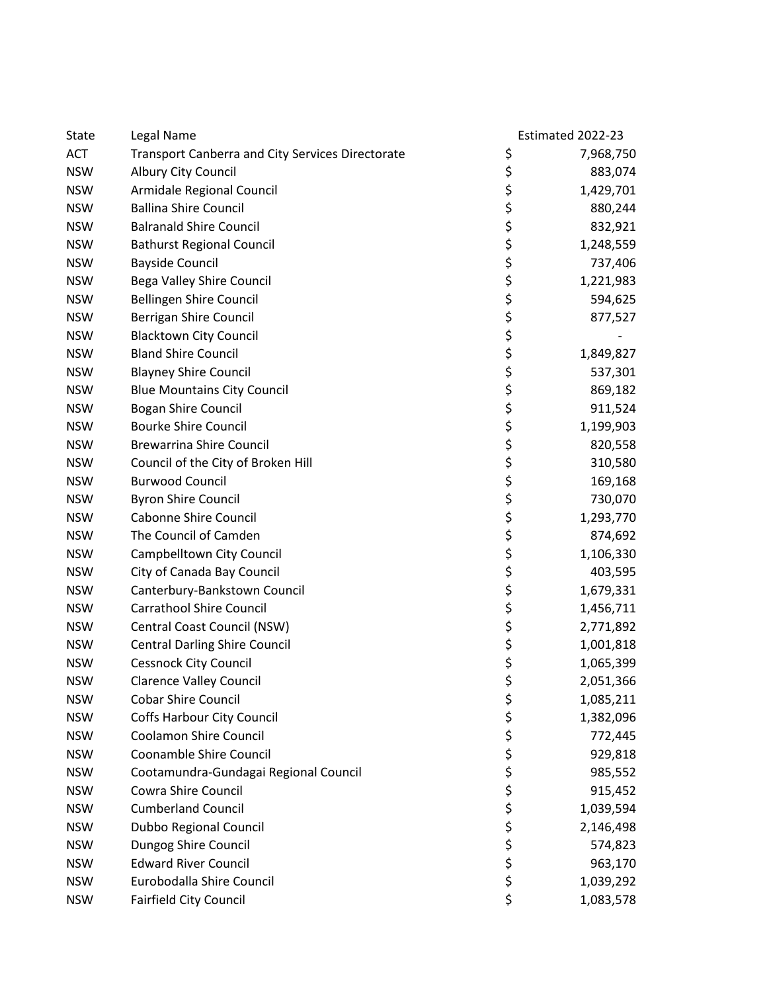| State      | Legal Name                                              |            | Estimated 2022-23 |
|------------|---------------------------------------------------------|------------|-------------------|
| <b>ACT</b> | <b>Transport Canberra and City Services Directorate</b> | \$         | 7,968,750         |
| <b>NSW</b> | Albury City Council                                     | \$         | 883,074           |
| <b>NSW</b> | Armidale Regional Council                               | \$         | 1,429,701         |
| <b>NSW</b> | <b>Ballina Shire Council</b>                            | \$         | 880,244           |
| <b>NSW</b> | <b>Balranald Shire Council</b>                          |            | 832,921           |
| <b>NSW</b> | <b>Bathurst Regional Council</b>                        | ぐぐぐら       | 1,248,559         |
| <b>NSW</b> | <b>Bayside Council</b>                                  |            | 737,406           |
| <b>NSW</b> | Bega Valley Shire Council                               |            | 1,221,983         |
| <b>NSW</b> | <b>Bellingen Shire Council</b>                          |            | 594,625           |
| <b>NSW</b> | Berrigan Shire Council                                  |            | 877,527           |
| <b>NSW</b> | <b>Blacktown City Council</b>                           |            |                   |
| <b>NSW</b> | <b>Bland Shire Council</b>                              | ぐぐぐぐ       | 1,849,827         |
| <b>NSW</b> | <b>Blayney Shire Council</b>                            |            | 537,301           |
| <b>NSW</b> | <b>Blue Mountains City Council</b>                      |            | 869,182           |
| <b>NSW</b> | <b>Bogan Shire Council</b>                              |            | 911,524           |
| <b>NSW</b> | <b>Bourke Shire Council</b>                             |            | 1,199,903         |
| <b>NSW</b> | <b>Brewarrina Shire Council</b>                         |            | 820,558           |
| <b>NSW</b> | Council of the City of Broken Hill                      |            | 310,580           |
| <b>NSW</b> | <b>Burwood Council</b>                                  | \$\$\$\$\$ | 169,168           |
| <b>NSW</b> | <b>Byron Shire Council</b>                              |            | 730,070           |
| <b>NSW</b> | <b>Cabonne Shire Council</b>                            |            | 1,293,770         |
| <b>NSW</b> | The Council of Camden                                   |            | 874,692           |
| <b>NSW</b> | Campbelltown City Council                               |            | 1,106,330         |
| <b>NSW</b> | City of Canada Bay Council                              | \$<br>\$   | 403,595           |
| <b>NSW</b> | Canterbury-Bankstown Council                            |            | 1,679,331         |
| <b>NSW</b> | <b>Carrathool Shire Council</b>                         |            | 1,456,711         |
| <b>NSW</b> | Central Coast Council (NSW)                             | \$\$\$\$   | 2,771,892         |
| <b>NSW</b> | <b>Central Darling Shire Council</b>                    |            | 1,001,818         |
| <b>NSW</b> | <b>Cessnock City Council</b>                            |            | 1,065,399         |
| <b>NSW</b> | <b>Clarence Valley Council</b>                          | \$         | 2,051,366         |
| <b>NSW</b> | <b>Cobar Shire Council</b>                              | \$         | 1,085,211         |
| <b>NSW</b> | <b>Coffs Harbour City Council</b>                       | \$         | 1,382,096         |
| <b>NSW</b> | <b>Coolamon Shire Council</b>                           |            | 772,445           |
| <b>NSW</b> | Coonamble Shire Council                                 | \$<br>\$   | 929,818           |
| <b>NSW</b> | Cootamundra-Gundagai Regional Council                   | \$\$\$     | 985,552           |
| <b>NSW</b> | Cowra Shire Council                                     |            | 915,452           |
| <b>NSW</b> | <b>Cumberland Council</b>                               |            | 1,039,594         |
| <b>NSW</b> | Dubbo Regional Council                                  |            | 2,146,498         |
| <b>NSW</b> | Dungog Shire Council                                    | \$\$\$     | 574,823           |
| <b>NSW</b> | <b>Edward River Council</b>                             |            | 963,170           |
| <b>NSW</b> | Eurobodalla Shire Council                               | \$         | 1,039,292         |
| <b>NSW</b> | <b>Fairfield City Council</b>                           | \$         | 1,083,578         |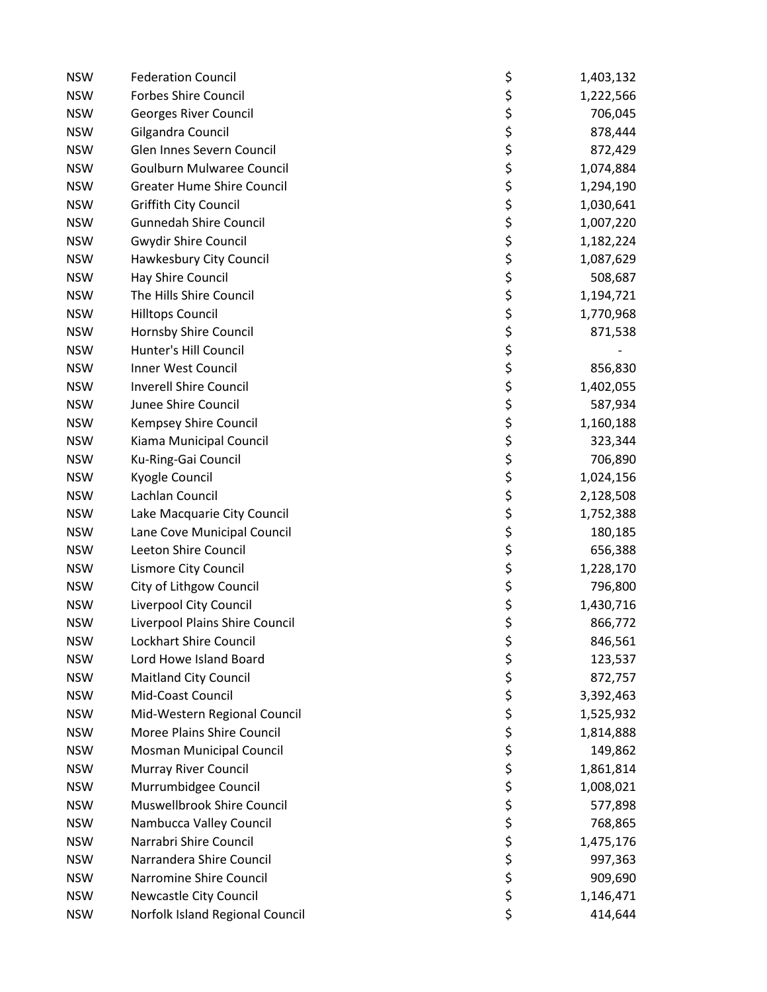| <b>NSW</b> | <b>Federation Council</b>         | \$       | 1,403,132 |
|------------|-----------------------------------|----------|-----------|
| <b>NSW</b> | <b>Forbes Shire Council</b>       | \$       | 1,222,566 |
| <b>NSW</b> | Georges River Council             | \$       | 706,045   |
| <b>NSW</b> | Gilgandra Council                 | ちゃくち     | 878,444   |
| <b>NSW</b> | Glen Innes Severn Council         |          | 872,429   |
| <b>NSW</b> | <b>Goulburn Mulwaree Council</b>  |          | 1,074,884 |
| <b>NSW</b> | <b>Greater Hume Shire Council</b> |          | 1,294,190 |
| <b>NSW</b> | Griffith City Council             |          | 1,030,641 |
| <b>NSW</b> | <b>Gunnedah Shire Council</b>     |          | 1,007,220 |
| <b>NSW</b> | <b>Gwydir Shire Council</b>       |          | 1,182,224 |
| <b>NSW</b> | Hawkesbury City Council           |          | 1,087,629 |
| <b>NSW</b> | Hay Shire Council                 | \$\$\$\$ | 508,687   |
| <b>NSW</b> | The Hills Shire Council           | \$       | 1,194,721 |
| <b>NSW</b> | <b>Hilltops Council</b>           | \$       | 1,770,968 |
| <b>NSW</b> | Hornsby Shire Council             | \$       | 871,538   |
| <b>NSW</b> | Hunter's Hill Council             |          |           |
| <b>NSW</b> | Inner West Council                | \$<br>\$ | 856,830   |
| <b>NSW</b> | <b>Inverell Shire Council</b>     |          | 1,402,055 |
| <b>NSW</b> | Junee Shire Council               | \$<br>\$ | 587,934   |
| <b>NSW</b> | Kempsey Shire Council             | \$       | 1,160,188 |
| <b>NSW</b> | Kiama Municipal Council           |          | 323,344   |
| <b>NSW</b> | Ku-Ring-Gai Council               |          | 706,890   |
| <b>NSW</b> | Kyogle Council                    |          | 1,024,156 |
| <b>NSW</b> | Lachlan Council                   |          | 2,128,508 |
| <b>NSW</b> | Lake Macquarie City Council       | ぐぐぐら     | 1,752,388 |
| <b>NSW</b> | Lane Cove Municipal Council       |          | 180,185   |
| <b>NSW</b> | Leeton Shire Council              |          | 656,388   |
| <b>NSW</b> | Lismore City Council              |          | 1,228,170 |
| <b>NSW</b> | City of Lithgow Council           | \$<br>\$ | 796,800   |
| <b>NSW</b> | Liverpool City Council            | \$       | 1,430,716 |
| <b>NSW</b> | Liverpool Plains Shire Council    | \$       | 866,772   |
| <b>NSW</b> | <b>Lockhart Shire Council</b>     | \$       | 846,561   |
| <b>NSW</b> | Lord Howe Island Board            | \$       | 123,537   |
| <b>NSW</b> | <b>Maitland City Council</b>      | \$       | 872,757   |
| <b>NSW</b> | Mid-Coast Council                 |          | 3,392,463 |
| <b>NSW</b> | Mid-Western Regional Council      | \$<br>\$ | 1,525,932 |
| <b>NSW</b> | Moree Plains Shire Council        |          | 1,814,888 |
| <b>NSW</b> | Mosman Municipal Council          | \$<br>\$ | 149,862   |
| <b>NSW</b> | <b>Murray River Council</b>       | \$       | 1,861,814 |
| <b>NSW</b> | Murrumbidgee Council              | \$<br>\$ | 1,008,021 |
| <b>NSW</b> | Muswellbrook Shire Council        |          | 577,898   |
| <b>NSW</b> | Nambucca Valley Council           | \$       | 768,865   |
| <b>NSW</b> | Narrabri Shire Council            | \$       | 1,475,176 |
| <b>NSW</b> | Narrandera Shire Council          | \$<br>\$ | 997,363   |
| <b>NSW</b> | Narromine Shire Council           |          | 909,690   |
| <b>NSW</b> | Newcastle City Council            | \$       | 1,146,471 |
| <b>NSW</b> | Norfolk Island Regional Council   | \$       | 414,644   |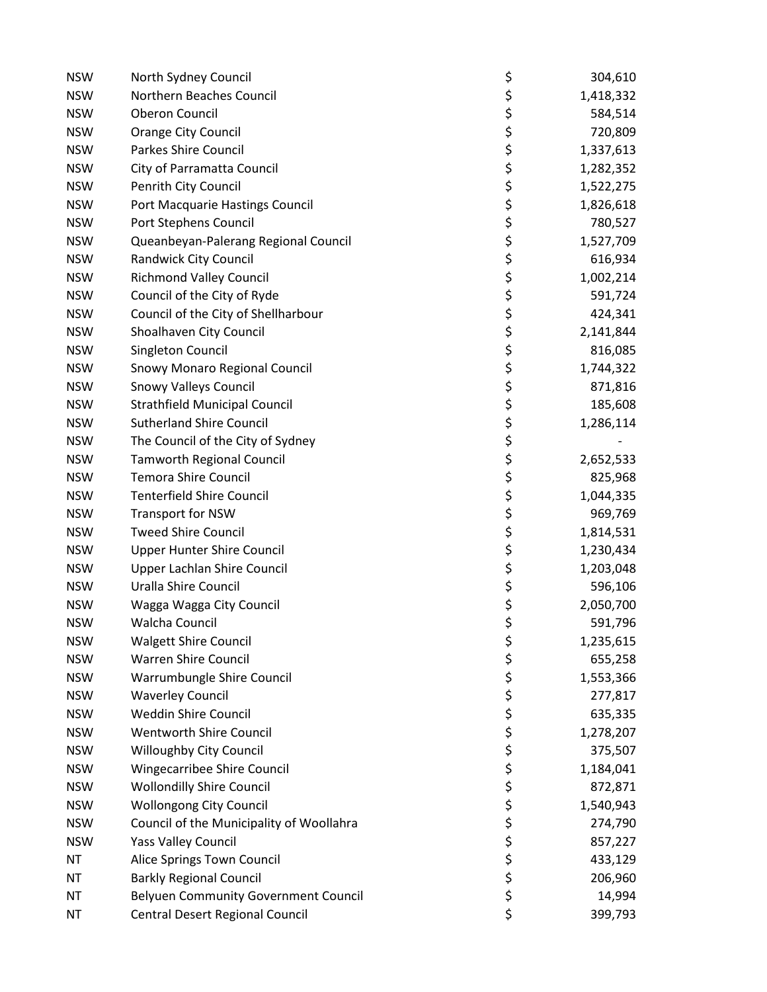| <b>NSW</b> | North Sydney Council                        | \$       | 304,610   |
|------------|---------------------------------------------|----------|-----------|
| <b>NSW</b> | Northern Beaches Council                    | \$       | 1,418,332 |
| <b>NSW</b> | <b>Oberon Council</b>                       | \$       | 584,514   |
| <b>NSW</b> | <b>Orange City Council</b>                  | ぐぐぐら     | 720,809   |
| <b>NSW</b> | Parkes Shire Council                        |          | 1,337,613 |
| <b>NSW</b> | City of Parramatta Council                  |          | 1,282,352 |
| <b>NSW</b> | Penrith City Council                        |          | 1,522,275 |
| <b>NSW</b> | Port Macquarie Hastings Council             |          | 1,826,618 |
| <b>NSW</b> | Port Stephens Council                       |          | 780,527   |
| <b>NSW</b> | Queanbeyan-Palerang Regional Council        |          | 1,527,709 |
| <b>NSW</b> | Randwick City Council                       |          | 616,934   |
| <b>NSW</b> | <b>Richmond Valley Council</b>              | \$<br>\$ | 1,002,214 |
| <b>NSW</b> | Council of the City of Ryde                 |          | 591,724   |
| <b>NSW</b> | Council of the City of Shellharbour         |          | 424,341   |
| <b>NSW</b> | Shoalhaven City Council                     |          | 2,141,844 |
| <b>NSW</b> | Singleton Council                           |          | 816,085   |
| <b>NSW</b> | Snowy Monaro Regional Council               |          | 1,744,322 |
| <b>NSW</b> | <b>Snowy Valleys Council</b>                |          | 871,816   |
| <b>NSW</b> | <b>Strathfield Municipal Council</b>        | やややみ ややや | 185,608   |
| <b>NSW</b> | <b>Sutherland Shire Council</b>             |          | 1,286,114 |
| <b>NSW</b> | The Council of the City of Sydney           | \$<br>\$ |           |
| <b>NSW</b> | <b>Tamworth Regional Council</b>            |          | 2,652,533 |
| <b>NSW</b> | <b>Temora Shire Council</b>                 |          | 825,968   |
| <b>NSW</b> | <b>Tenterfield Shire Council</b>            |          | 1,044,335 |
| <b>NSW</b> | <b>Transport for NSW</b>                    | ぐうさかい    | 969,769   |
| <b>NSW</b> | <b>Tweed Shire Council</b>                  |          | 1,814,531 |
| <b>NSW</b> | <b>Upper Hunter Shire Council</b>           |          | 1,230,434 |
| <b>NSW</b> | Upper Lachlan Shire Council                 |          | 1,203,048 |
| <b>NSW</b> | Uralla Shire Council                        |          | 596,106   |
| <b>NSW</b> | Wagga Wagga City Council                    |          | 2,050,700 |
| <b>NSW</b> | Walcha Council                              |          | 591,796   |
| <b>NSW</b> | <b>Walgett Shire Council</b>                | \$       | 1,235,615 |
| <b>NSW</b> | <b>Warren Shire Council</b>                 | \$<br>\$ | 655,258   |
| <b>NSW</b> | Warrumbungle Shire Council                  |          | 1,553,366 |
| <b>NSW</b> | <b>Waverley Council</b>                     | やみなみや    | 277,817   |
| <b>NSW</b> | <b>Weddin Shire Council</b>                 |          | 635,335   |
| <b>NSW</b> | <b>Wentworth Shire Council</b>              |          | 1,278,207 |
| <b>NSW</b> | Willoughby City Council                     |          | 375,507   |
| <b>NSW</b> | Wingecarribee Shire Council                 |          | 1,184,041 |
| <b>NSW</b> | <b>Wollondilly Shire Council</b>            |          | 872,871   |
| <b>NSW</b> | <b>Wollongong City Council</b>              |          | 1,540,943 |
| <b>NSW</b> | Council of the Municipality of Woollahra    |          | 274,790   |
| <b>NSW</b> | <b>Yass Valley Council</b>                  |          | 857,227   |
| <b>NT</b>  | Alice Springs Town Council                  | \$\$\$\$ | 433,129   |
| <b>NT</b>  | <b>Barkly Regional Council</b>              |          | 206,960   |
| NT         | <b>Belyuen Community Government Council</b> | \$       | 14,994    |
| <b>NT</b>  | Central Desert Regional Council             | \$       | 399,793   |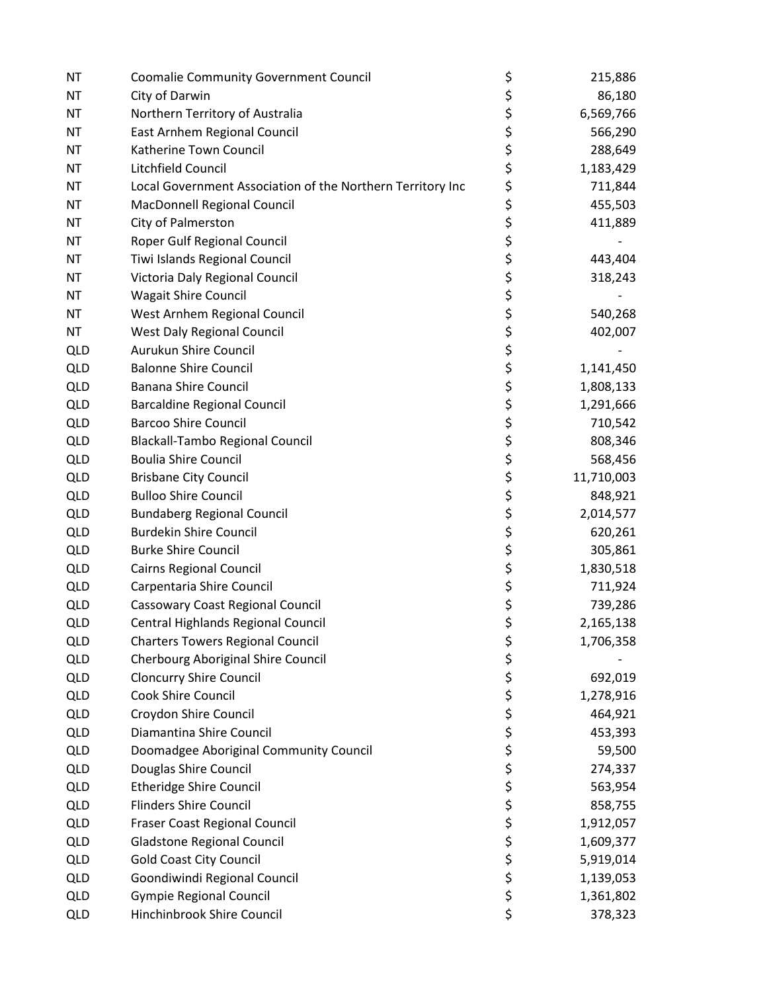| <b>NT</b>  | <b>Coomalie Community Government Council</b>               | \$       | 215,886    |
|------------|------------------------------------------------------------|----------|------------|
| <b>NT</b>  | City of Darwin                                             | \$       | 86,180     |
| ΝT         | Northern Territory of Australia                            | \$       | 6,569,766  |
| <b>NT</b>  | East Arnhem Regional Council                               | \$\$\$   | 566,290    |
| <b>NT</b>  | Katherine Town Council                                     |          | 288,649    |
| ΝT         | Litchfield Council                                         |          | 1,183,429  |
| <b>NT</b>  | Local Government Association of the Northern Territory Inc | \$       | 711,844    |
| <b>NT</b>  | MacDonnell Regional Council                                | \$       | 455,503    |
| <b>NT</b>  | City of Palmerston                                         | \$<br>\$ | 411,889    |
| <b>NT</b>  | Roper Gulf Regional Council                                |          |            |
| <b>NT</b>  | Tiwi Islands Regional Council                              | \$<br>\$ | 443,404    |
| <b>NT</b>  | Victoria Daly Regional Council                             |          | 318,243    |
| <b>NT</b>  | <b>Wagait Shire Council</b>                                |          |            |
| <b>NT</b>  | West Arnhem Regional Council                               |          | 540,268    |
| <b>NT</b>  | <b>West Daly Regional Council</b>                          |          | 402,007    |
| <b>QLD</b> | Aurukun Shire Council                                      | ややや やや   |            |
| <b>QLD</b> | <b>Balonne Shire Council</b>                               |          | 1,141,450  |
| <b>QLD</b> | <b>Banana Shire Council</b>                                | \$<br>\$ | 1,808,133  |
| <b>QLD</b> | <b>Barcaldine Regional Council</b>                         |          | 1,291,666  |
| <b>QLD</b> | <b>Barcoo Shire Council</b>                                | \$       | 710,542    |
| <b>QLD</b> | <b>Blackall-Tambo Regional Council</b>                     | \$       | 808,346    |
| <b>QLD</b> | <b>Boulia Shire Council</b>                                | \$       | 568,456    |
| <b>QLD</b> | <b>Brisbane City Council</b>                               | ちゃくち     | 11,710,003 |
| <b>QLD</b> | <b>Bulloo Shire Council</b>                                |          | 848,921    |
| <b>QLD</b> | <b>Bundaberg Regional Council</b>                          |          | 2,014,577  |
| <b>QLD</b> | <b>Burdekin Shire Council</b>                              |          | 620,261    |
| <b>QLD</b> | <b>Burke Shire Council</b>                                 |          | 305,861    |
| <b>QLD</b> | <b>Cairns Regional Council</b>                             | \$<br>\$ | 1,830,518  |
| <b>QLD</b> | Carpentaria Shire Council                                  |          | 711,924    |
| <b>QLD</b> | <b>Cassowary Coast Regional Council</b>                    | \$       | 739,286    |
| <b>QLD</b> | Central Highlands Regional Council                         | \$       | 2,165,138  |
| <b>QLD</b> | <b>Charters Towers Regional Council</b>                    | \$       | 1,706,358  |
| <b>QLD</b> | Cherbourg Aboriginal Shire Council                         | \$       |            |
| <b>QLD</b> | <b>Cloncurry Shire Council</b>                             | \$       | 692,019    |
| <b>QLD</b> | Cook Shire Council                                         | \$<br>\$ | 1,278,916  |
| <b>QLD</b> | Croydon Shire Council                                      |          | 464,921    |
| <b>QLD</b> | Diamantina Shire Council                                   | \$<br>\$ | 453,393    |
| QLD        | Doomadgee Aboriginal Community Council                     |          | 59,500     |
| <b>QLD</b> | Douglas Shire Council                                      | \$       | 274,337    |
| <b>QLD</b> | <b>Etheridge Shire Council</b>                             | \$<br>\$ | 563,954    |
| <b>QLD</b> | <b>Flinders Shire Council</b>                              |          | 858,755    |
| <b>QLD</b> | Fraser Coast Regional Council                              | \$       | 1,912,057  |
| QLD        | Gladstone Regional Council                                 | \$\$\$   | 1,609,377  |
| <b>QLD</b> | <b>Gold Coast City Council</b>                             |          | 5,919,014  |
| <b>QLD</b> | Goondiwindi Regional Council                               |          | 1,139,053  |
| <b>QLD</b> | <b>Gympie Regional Council</b>                             | \$       | 1,361,802  |
| <b>QLD</b> | Hinchinbrook Shire Council                                 | \$       | 378,323    |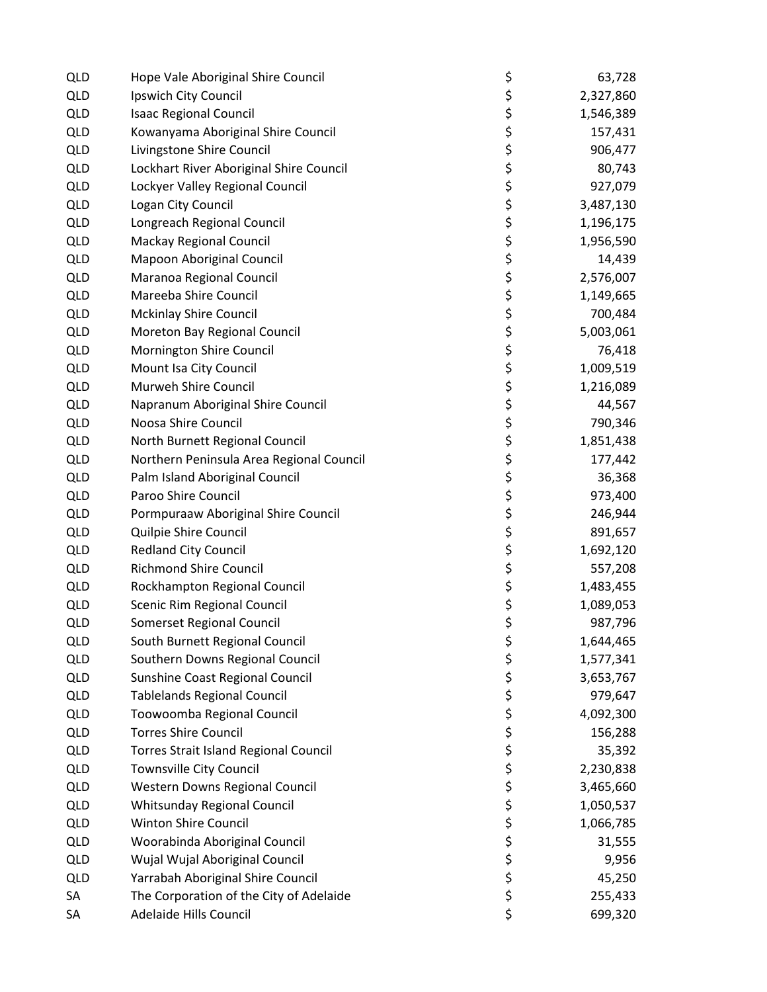| <b>QLD</b> | Hope Vale Aboriginal Shire Council           | \$        | 63,728    |
|------------|----------------------------------------------|-----------|-----------|
| <b>QLD</b> | Ipswich City Council                         | \$        | 2,327,860 |
| <b>QLD</b> | <b>Isaac Regional Council</b>                | \$        | 1,546,389 |
| <b>QLD</b> | Kowanyama Aboriginal Shire Council           | ひゃくさい ひゃく | 157,431   |
| QLD        | Livingstone Shire Council                    |           | 906,477   |
| <b>QLD</b> | Lockhart River Aboriginal Shire Council      |           | 80,743    |
| <b>QLD</b> | Lockyer Valley Regional Council              |           | 927,079   |
| QLD        | Logan City Council                           |           | 3,487,130 |
| <b>QLD</b> | Longreach Regional Council                   |           | 1,196,175 |
| <b>QLD</b> | <b>Mackay Regional Council</b>               |           | 1,956,590 |
| <b>QLD</b> | Mapoon Aboriginal Council                    |           | 14,439    |
| QLD        | Maranoa Regional Council                     |           | 2,576,007 |
| <b>QLD</b> | Mareeba Shire Council                        |           | 1,149,665 |
| <b>QLD</b> | <b>Mckinlay Shire Council</b>                | \$<br>\$  | 700,484   |
| <b>QLD</b> | Moreton Bay Regional Council                 |           | 5,003,061 |
| <b>QLD</b> | Mornington Shire Council                     |           | 76,418    |
| <b>QLD</b> | Mount Isa City Council                       | \$\$\$    | 1,009,519 |
| <b>QLD</b> | Murweh Shire Council                         |           | 1,216,089 |
| <b>QLD</b> | Napranum Aboriginal Shire Council            | \$\$\$    | 44,567    |
| <b>QLD</b> | Noosa Shire Council                          |           | 790,346   |
| <b>QLD</b> | North Burnett Regional Council               | ややみやす     | 1,851,438 |
| <b>QLD</b> | Northern Peninsula Area Regional Council     |           | 177,442   |
| <b>QLD</b> | Palm Island Aboriginal Council               |           | 36,368    |
| <b>QLD</b> | Paroo Shire Council                          |           | 973,400   |
| <b>QLD</b> | Pormpuraaw Aboriginal Shire Council          |           | 246,944   |
| <b>QLD</b> | Quilpie Shire Council                        |           | 891,657   |
| <b>QLD</b> | <b>Redland City Council</b>                  |           | 1,692,120 |
| <b>QLD</b> | <b>Richmond Shire Council</b>                |           | 557,208   |
| <b>QLD</b> | Rockhampton Regional Council                 | \$\$\$\$  | 1,483,455 |
| <b>QLD</b> | Scenic Rim Regional Council                  |           | 1,089,053 |
| <b>QLD</b> | Somerset Regional Council                    |           | 987,796   |
| <b>QLD</b> | South Burnett Regional Council               | \$        | 1,644,465 |
| <b>QLD</b> | Southern Downs Regional Council              | \$        | 1,577,341 |
| <b>QLD</b> | Sunshine Coast Regional Council              | \$        | 3,653,767 |
| <b>QLD</b> | <b>Tablelands Regional Council</b>           | \$<br>\$  | 979,647   |
| <b>QLD</b> | Toowoomba Regional Council                   |           | 4,092,300 |
| <b>QLD</b> | <b>Torres Shire Council</b>                  | \$<br>\$  | 156,288   |
| <b>QLD</b> | <b>Torres Strait Island Regional Council</b> |           | 35,392    |
| <b>QLD</b> | Townsville City Council                      | \$        | 2,230,838 |
| <b>QLD</b> | Western Downs Regional Council               | \$<br>\$  | 3,465,660 |
| <b>QLD</b> | Whitsunday Regional Council                  |           | 1,050,537 |
| <b>QLD</b> | <b>Winton Shire Council</b>                  | \$<br>\$  | 1,066,785 |
| <b>QLD</b> | Woorabinda Aboriginal Council                |           | 31,555    |
| <b>QLD</b> | Wujal Wujal Aboriginal Council               | \$<br>\$  | 9,956     |
| <b>QLD</b> | Yarrabah Aboriginal Shire Council            |           | 45,250    |
| SA         | The Corporation of the City of Adelaide      | \$        | 255,433   |
| SA         | Adelaide Hills Council                       | \$        | 699,320   |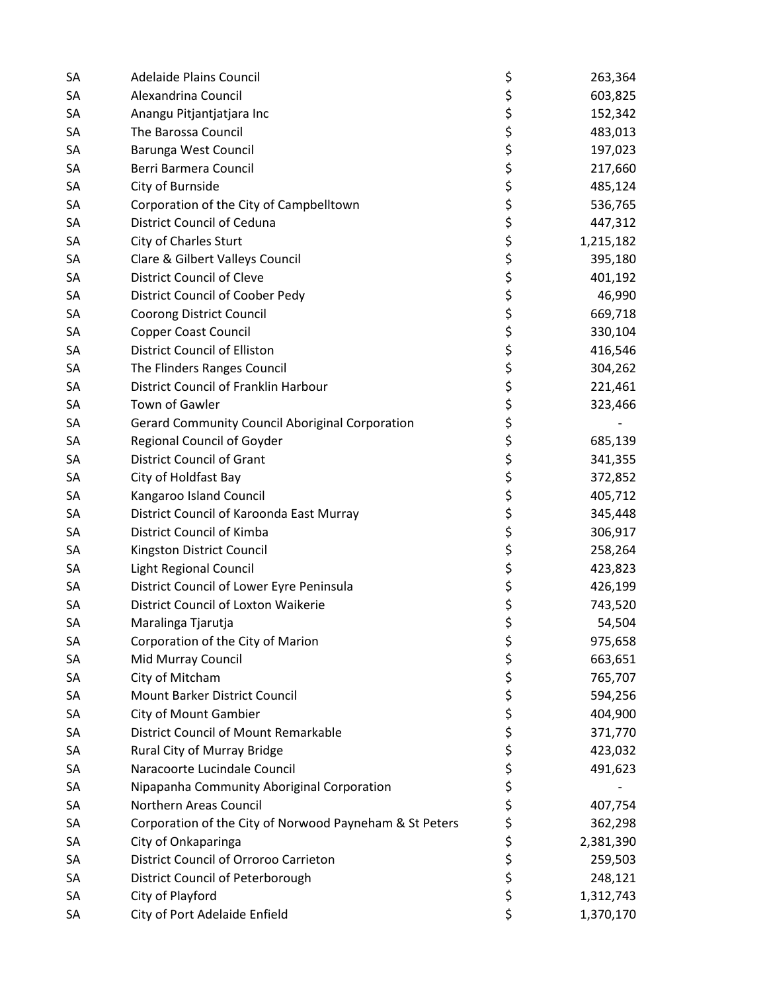| SA | <b>Adelaide Plains Council</b>                          | \$       | 263,364   |
|----|---------------------------------------------------------|----------|-----------|
| SA | Alexandrina Council                                     | \$       | 603,825   |
| SА | Anangu Pitjantjatjara Inc                               | \$       | 152,342   |
| SA | The Barossa Council                                     | \$       | 483,013   |
| SА | Barunga West Council                                    | \$       | 197,023   |
| SA | Berri Barmera Council                                   | \$       | 217,660   |
| SA | City of Burnside                                        | \$<br>\$ | 485,124   |
| SA | Corporation of the City of Campbelltown                 |          | 536,765   |
| SA | <b>District Council of Ceduna</b>                       | \$<br>\$ | 447,312   |
| SA | City of Charles Sturt                                   |          | 1,215,182 |
| SA | Clare & Gilbert Valleys Council                         | \$<br>\$ | 395,180   |
| SA | <b>District Council of Cleve</b>                        |          | 401,192   |
| SA | District Council of Coober Pedy                         | \$       | 46,990    |
| SA | <b>Coorong District Council</b>                         | \$\$\$\$ | 669,718   |
| SA | <b>Copper Coast Council</b>                             |          | 330,104   |
| SA | <b>District Council of Elliston</b>                     |          | 416,546   |
| SA | The Flinders Ranges Council                             |          | 304,262   |
| SА | District Council of Franklin Harbour                    | \$<br>\$ | 221,461   |
| SA | Town of Gawler                                          |          | 323,466   |
| SA | <b>Gerard Community Council Aboriginal Corporation</b>  | \$       |           |
| SA | <b>Regional Council of Goyder</b>                       | \$       | 685,139   |
| SA | <b>District Council of Grant</b>                        | \$       | 341,355   |
| SA | City of Holdfast Bay                                    | \$       | 372,852   |
| SА | Kangaroo Island Council                                 | \$       | 405,712   |
| SA | District Council of Karoonda East Murray                | \$       | 345,448   |
| SA | District Council of Kimba                               | \$       | 306,917   |
| SA | Kingston District Council                               | \$       | 258,264   |
| SA | Light Regional Council                                  | \$       | 423,823   |
| SA | District Council of Lower Eyre Peninsula                | \$       | 426,199   |
| SА | District Council of Loxton Waikerie                     | \$       | 743,520   |
| SA | Maralinga Tjarutja                                      | \$       | 54,504    |
| SA | Corporation of the City of Marion                       | \$       | 975,658   |
| SA | Mid Murray Council                                      | \$       | 663,651   |
| SА | City of Mitcham                                         | \$       | 765,707   |
| SA | Mount Barker District Council                           | \$       | 594,256   |
| SA | City of Mount Gambier                                   | \$       | 404,900   |
| SA | <b>District Council of Mount Remarkable</b>             | \$<br>\$ | 371,770   |
| SA | Rural City of Murray Bridge                             |          | 423,032   |
| SА | Naracoorte Lucindale Council                            | \$       | 491,623   |
| SA | Nipapanha Community Aboriginal Corporation              | \$<br>\$ |           |
| SA | Northern Areas Council                                  |          | 407,754   |
| SA | Corporation of the City of Norwood Payneham & St Peters |          | 362,298   |
| SA | City of Onkaparinga                                     | \$\$\$   | 2,381,390 |
| SA | District Council of Orroroo Carrieton                   |          | 259,503   |
| SA | District Council of Peterborough                        | \$       | 248,121   |
| SA | City of Playford                                        | \$       | 1,312,743 |
| SA | City of Port Adelaide Enfield                           | \$       | 1,370,170 |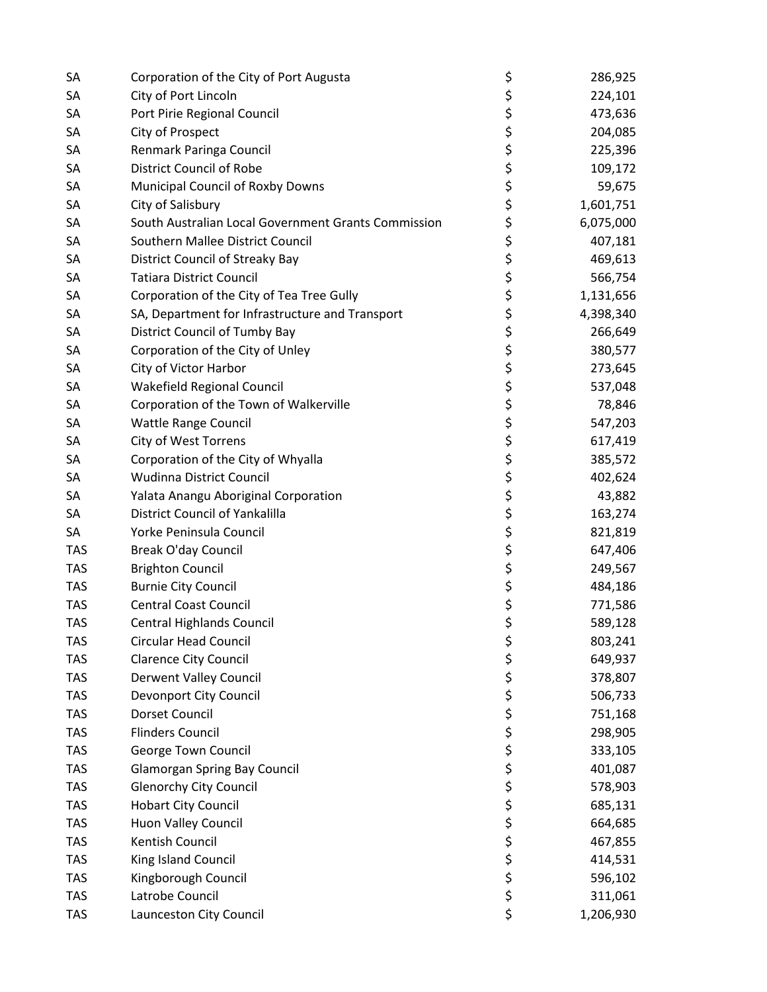| SА         | Corporation of the City of Port Augusta             | \$       | 286,925   |
|------------|-----------------------------------------------------|----------|-----------|
| SA         | City of Port Lincoln                                | \$       | 224,101   |
| SA         | Port Pirie Regional Council                         | \$       | 473,636   |
| SА         | City of Prospect                                    | \$       | 204,085   |
| SА         | Renmark Paringa Council                             | \$       | 225,396   |
| SА         | <b>District Council of Robe</b>                     | \$       | 109,172   |
| SA         | Municipal Council of Roxby Downs                    | \$       | 59,675    |
| SA         | City of Salisbury                                   | \$       | 1,601,751 |
| SA         | South Australian Local Government Grants Commission | \$       | 6,075,000 |
| SA         | Southern Mallee District Council                    | \$       | 407,181   |
| SА         | District Council of Streaky Bay                     |          | 469,613   |
| SA         | <b>Tatiara District Council</b>                     | \$<br>\$ | 566,754   |
| SA         | Corporation of the City of Tea Tree Gully           | \$       | 1,131,656 |
| SA         | SA, Department for Infrastructure and Transport     |          | 4,398,340 |
| SA         | District Council of Tumby Bay                       |          | 266,649   |
| SA         | Corporation of the City of Unley                    |          | 380,577   |
| SA         | City of Victor Harbor                               | ちゃくら     | 273,645   |
| SА         | <b>Wakefield Regional Council</b>                   |          | 537,048   |
| SA         | Corporation of the Town of Walkerville              | \$<br>\$ | 78,846    |
| SA         | <b>Wattle Range Council</b>                         |          | 547,203   |
| SA         | <b>City of West Torrens</b>                         | \$       | 617,419   |
| SA         | Corporation of the City of Whyalla                  | \$       | 385,572   |
| SА         | Wudinna District Council                            | \$       | 402,624   |
| SA         | Yalata Anangu Aboriginal Corporation                | \$       | 43,882    |
| SA         | District Council of Yankalilla                      | \$       | 163,274   |
| SA         | Yorke Peninsula Council                             | \$       | 821,819   |
| <b>TAS</b> | <b>Break O'day Council</b>                          | \$       | 647,406   |
| <b>TAS</b> | <b>Brighton Council</b>                             | \$       | 249,567   |
| <b>TAS</b> | <b>Burnie City Council</b>                          | \$       | 484,186   |
| <b>TAS</b> | <b>Central Coast Council</b>                        | \$       | 771,586   |
| <b>TAS</b> | Central Highlands Council                           | \$       | 589,128   |
| <b>TAS</b> | Circular Head Council                               | \$       | 803,241   |
| <b>TAS</b> | <b>Clarence City Council</b>                        | \$       | 649,937   |
| <b>TAS</b> | Derwent Valley Council                              | \$       | 378,807   |
| <b>TAS</b> | Devonport City Council                              | \$       | 506,733   |
| <b>TAS</b> | Dorset Council                                      | \$       | 751,168   |
| <b>TAS</b> | <b>Flinders Council</b>                             | \$       | 298,905   |
| <b>TAS</b> | George Town Council                                 |          | 333,105   |
| <b>TAS</b> | <b>Glamorgan Spring Bay Council</b>                 | ややや やや   | 401,087   |
| <b>TAS</b> | <b>Glenorchy City Council</b>                       |          | 578,903   |
| <b>TAS</b> | <b>Hobart City Council</b>                          |          | 685,131   |
| <b>TAS</b> | Huon Valley Council                                 |          | 664,685   |
| <b>TAS</b> | Kentish Council                                     |          | 467,855   |
| <b>TAS</b> | King Island Council                                 | \$       | 414,531   |
| <b>TAS</b> | Kingborough Council                                 | \$<br>\$ | 596,102   |
| <b>TAS</b> | Latrobe Council                                     |          | 311,061   |
| <b>TAS</b> | Launceston City Council                             | \$       | 1,206,930 |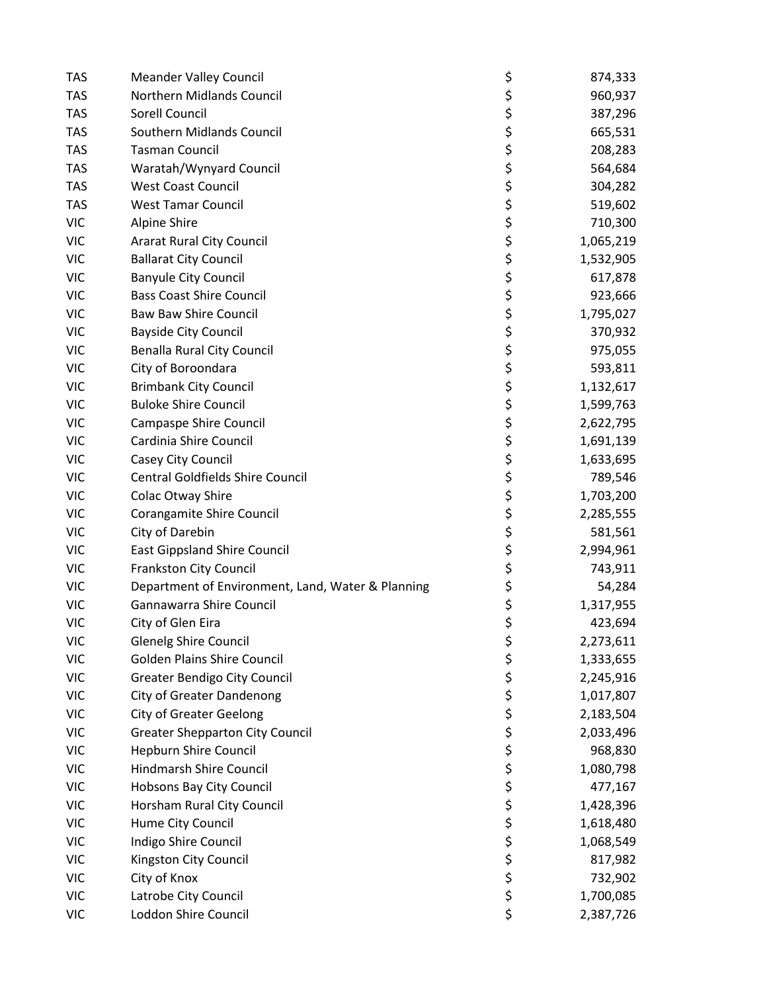| <b>TAS</b> | <b>Meander Valley Council</b>                     | \$       | 874,333   |
|------------|---------------------------------------------------|----------|-----------|
| <b>TAS</b> | Northern Midlands Council                         | \$       | 960,937   |
| <b>TAS</b> | Sorell Council                                    | \$       | 387,296   |
| <b>TAS</b> | Southern Midlands Council                         |          | 665,531   |
| <b>TAS</b> | <b>Tasman Council</b>                             | ちゃくち     | 208,283   |
| <b>TAS</b> | Waratah/Wynyard Council                           |          | 564,684   |
| <b>TAS</b> | <b>West Coast Council</b>                         |          | 304,282   |
| <b>TAS</b> | <b>West Tamar Council</b>                         |          | 519,602   |
| <b>VIC</b> | Alpine Shire                                      | \$<br>\$ | 710,300   |
| <b>VIC</b> | <b>Ararat Rural City Council</b>                  |          | 1,065,219 |
| <b>VIC</b> | <b>Ballarat City Council</b>                      |          | 1,532,905 |
| <b>VIC</b> | <b>Banyule City Council</b>                       |          | 617,878   |
| <b>VIC</b> | <b>Bass Coast Shire Council</b>                   |          | 923,666   |
| <b>VIC</b> | <b>Baw Baw Shire Council</b>                      |          | 1,795,027 |
| <b>VIC</b> | <b>Bayside City Council</b>                       |          | 370,932   |
| <b>VIC</b> | <b>Benalla Rural City Council</b>                 |          | 975,055   |
| <b>VIC</b> | City of Boroondara                                | やややみ ややや | 593,811   |
| <b>VIC</b> | <b>Brimbank City Council</b>                      |          | 1,132,617 |
| <b>VIC</b> | <b>Buloke Shire Council</b>                       |          | 1,599,763 |
| <b>VIC</b> | <b>Campaspe Shire Council</b>                     | \$       | 2,622,795 |
| <b>VIC</b> | Cardinia Shire Council                            | \$       | 1,691,139 |
| <b>VIC</b> | Casey City Council                                | \$       | 1,633,695 |
| <b>VIC</b> | Central Goldfields Shire Council                  | ちゃくち     | 789,546   |
| <b>VIC</b> | Colac Otway Shire                                 |          | 1,703,200 |
| <b>VIC</b> | Corangamite Shire Council                         |          | 2,285,555 |
| <b>VIC</b> | City of Darebin                                   |          | 581,561   |
| <b>VIC</b> | <b>East Gippsland Shire Council</b>               |          | 2,994,961 |
| <b>VIC</b> | <b>Frankston City Council</b>                     | \$       | 743,911   |
| <b>VIC</b> | Department of Environment, Land, Water & Planning | \$       | 54,284    |
| <b>VIC</b> | Gannawarra Shire Council                          | \$       | 1,317,955 |
| <b>VIC</b> | City of Glen Eira                                 | \$       | 423,694   |
| <b>VIC</b> | <b>Glenelg Shire Council</b>                      | \$       | 2,273,611 |
| <b>VIC</b> | <b>Golden Plains Shire Council</b>                | \$       | 1,333,655 |
| <b>VIC</b> | <b>Greater Bendigo City Council</b>               | \$       | 2,245,916 |
| <b>VIC</b> | <b>City of Greater Dandenong</b>                  | やややさ やや  | 1,017,807 |
| <b>VIC</b> | <b>City of Greater Geelong</b>                    |          | 2,183,504 |
| <b>VIC</b> | <b>Greater Shepparton City Council</b>            |          | 2,033,496 |
| <b>VIC</b> | <b>Hepburn Shire Council</b>                      |          | 968,830   |
| <b>VIC</b> | Hindmarsh Shire Council                           |          | 1,080,798 |
| <b>VIC</b> | Hobsons Bay City Council                          |          | 477,167   |
| <b>VIC</b> | Horsham Rural City Council                        |          | 1,428,396 |
| <b>VIC</b> | Hume City Council                                 | \$<br>\$ | 1,618,480 |
| <b>VIC</b> | Indigo Shire Council                              |          | 1,068,549 |
| <b>VIC</b> | Kingston City Council                             | \$<br>\$ | 817,982   |
| <b>VIC</b> | City of Knox                                      |          | 732,902   |
| <b>VIC</b> | Latrobe City Council                              | \$       | 1,700,085 |
| <b>VIC</b> | Loddon Shire Council                              | \$       | 2,387,726 |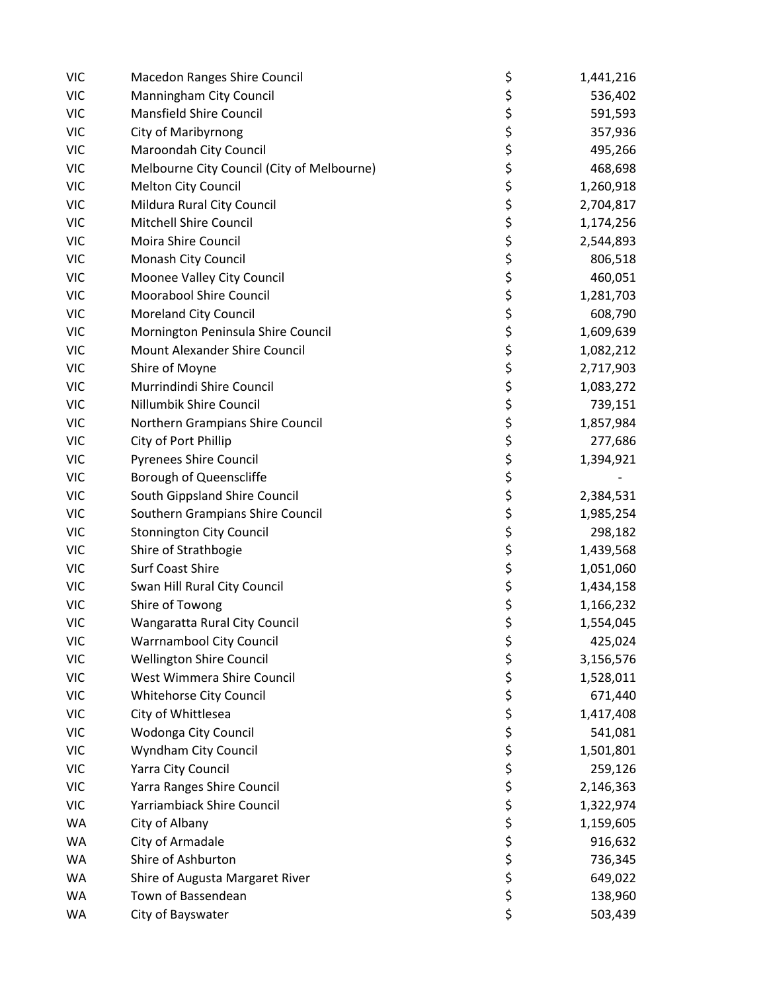| <b>VIC</b> | Macedon Ranges Shire Council               | \$         | 1,441,216 |
|------------|--------------------------------------------|------------|-----------|
| <b>VIC</b> | Manningham City Council                    |            | 536,402   |
| <b>VIC</b> | <b>Mansfield Shire Council</b>             | \$<br>\$   | 591,593   |
| <b>VIC</b> | <b>City of Maribyrnong</b>                 |            | 357,936   |
| <b>VIC</b> | Maroondah City Council                     |            | 495,266   |
| <b>VIC</b> | Melbourne City Council (City of Melbourne) | ややみ ややや やや | 468,698   |
| <b>VIC</b> | <b>Melton City Council</b>                 |            | 1,260,918 |
| <b>VIC</b> | Mildura Rural City Council                 |            | 2,704,817 |
| <b>VIC</b> | <b>Mitchell Shire Council</b>              |            | 1,174,256 |
| <b>VIC</b> | Moira Shire Council                        |            | 2,544,893 |
| <b>VIC</b> | Monash City Council                        |            | 806,518   |
| <b>VIC</b> | Moonee Valley City Council                 |            | 460,051   |
| <b>VIC</b> | <b>Moorabool Shire Council</b>             | \$         | 1,281,703 |
| <b>VIC</b> | <b>Moreland City Council</b>               |            | 608,790   |
| <b>VIC</b> | Mornington Peninsula Shire Council         |            | 1,609,639 |
| <b>VIC</b> | Mount Alexander Shire Council              |            | 1,082,212 |
| <b>VIC</b> | Shire of Moyne                             | \$\$\$\$   | 2,717,903 |
| <b>VIC</b> | Murrindindi Shire Council                  |            | 1,083,272 |
| <b>VIC</b> | Nillumbik Shire Council                    |            | 739,151   |
| <b>VIC</b> | Northern Grampians Shire Council           |            | 1,857,984 |
| <b>VIC</b> | City of Port Phillip                       |            | 277,686   |
| <b>VIC</b> | <b>Pyrenees Shire Council</b>              | ぐうさ こうさ    | 1,394,921 |
| <b>VIC</b> | Borough of Queenscliffe                    |            |           |
| <b>VIC</b> | South Gippsland Shire Council              |            | 2,384,531 |
| <b>VIC</b> | Southern Grampians Shire Council           |            | 1,985,254 |
| <b>VIC</b> | <b>Stonnington City Council</b>            |            | 298,182   |
| <b>VIC</b> | Shire of Strathbogie                       | \$<br>\$   | 1,439,568 |
| <b>VIC</b> | <b>Surf Coast Shire</b>                    |            | 1,051,060 |
| <b>VIC</b> | Swan Hill Rural City Council               | \$\$\$     | 1,434,158 |
| <b>VIC</b> | Shire of Towong                            |            | 1,166,232 |
| <b>VIC</b> | Wangaratta Rural City Council              | \$         | 1,554,045 |
| <b>VIC</b> | <b>Warrnambool City Council</b>            | \$         | 425,024   |
| <b>VIC</b> | <b>Wellington Shire Council</b>            |            | 3,156,576 |
| <b>VIC</b> | West Wimmera Shire Council                 | \$<br>\$   | 1,528,011 |
| <b>VIC</b> | Whitehorse City Council                    |            | 671,440   |
| <b>VIC</b> | City of Whittlesea                         |            | 1,417,408 |
| <b>VIC</b> | Wodonga City Council                       |            | 541,081   |
| <b>VIC</b> | Wyndham City Council                       |            | 1,501,801 |
| <b>VIC</b> | Yarra City Council                         |            | 259,126   |
| <b>VIC</b> | Yarra Ranges Shire Council                 | やややや ややや   | 2,146,363 |
| <b>VIC</b> | Yarriambiack Shire Council                 |            | 1,322,974 |
| <b>WA</b>  | City of Albany                             |            | 1,159,605 |
| <b>WA</b>  | City of Armadale                           |            | 916,632   |
| WA         | Shire of Ashburton                         | \$         | 736,345   |
| WA         | Shire of Augusta Margaret River            | \$<br>\$   | 649,022   |
| WA         | Town of Bassendean                         |            | 138,960   |
| WA         | City of Bayswater                          | \$         | 503,439   |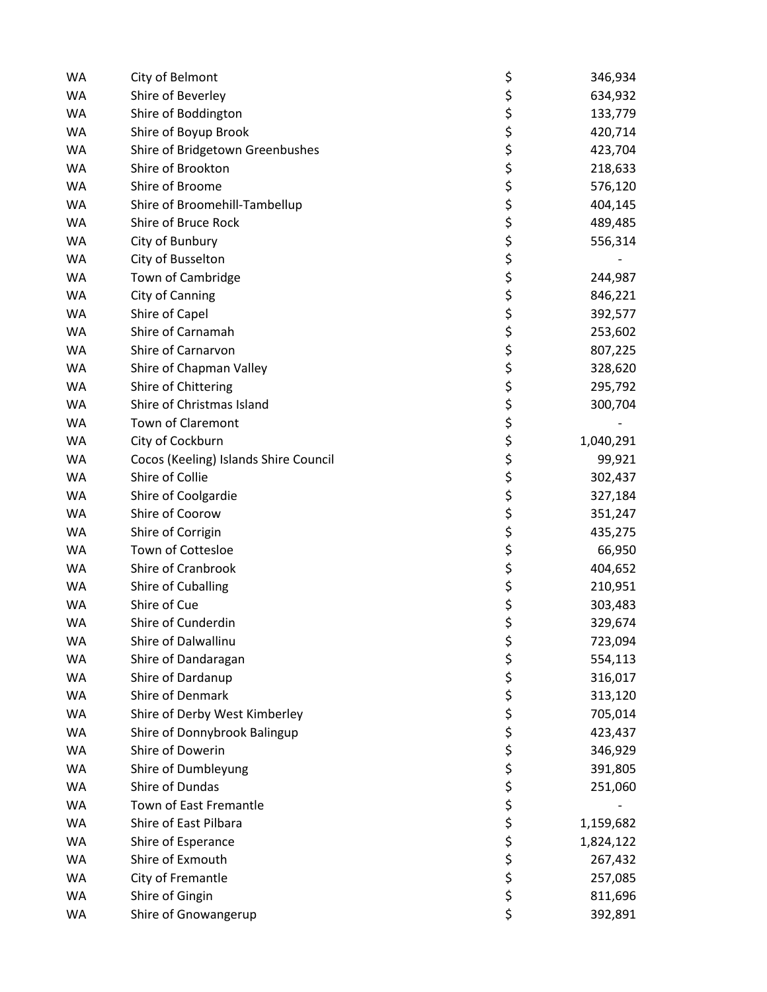| <b>WA</b> | City of Belmont                       | \$       | 346,934   |
|-----------|---------------------------------------|----------|-----------|
| <b>WA</b> | Shire of Beverley                     | \$       | 634,932   |
| <b>WA</b> | Shire of Boddington                   | \$       | 133,779   |
| <b>WA</b> | Shire of Boyup Brook                  | \$       | 420,714   |
| <b>WA</b> | Shire of Bridgetown Greenbushes       | \$       | 423,704   |
| <b>WA</b> | Shire of Brookton                     | \$       | 218,633   |
| WA        | Shire of Broome                       |          | 576,120   |
| WA        | Shire of Broomehill-Tambellup         | \$<br>\$ | 404,145   |
| <b>WA</b> | Shire of Bruce Rock                   | \$       | 489,485   |
| <b>WA</b> | City of Bunbury                       | \$       | 556,314   |
| <b>WA</b> | City of Busselton                     | \$       |           |
| WA        | Town of Cambridge                     | \$       | 244,987   |
| WA        | City of Canning                       | \$       | 846,221   |
| <b>WA</b> | Shire of Capel                        | \$       | 392,577   |
| <b>WA</b> | Shire of Carnamah                     | \$       | 253,602   |
| <b>WA</b> | Shire of Carnarvon                    | \$       | 807,225   |
| <b>WA</b> | Shire of Chapman Valley               | \$       | 328,620   |
| <b>WA</b> | Shire of Chittering                   | \$       | 295,792   |
| WA        | Shire of Christmas Island             |          | 300,704   |
| <b>WA</b> | <b>Town of Claremont</b>              | \$<br>\$ |           |
| <b>WA</b> | City of Cockburn                      | \$<br>\$ | 1,040,291 |
| <b>WA</b> | Cocos (Keeling) Islands Shire Council |          | 99,921    |
| <b>WA</b> | Shire of Collie                       | \$       | 302,437   |
| WA        | Shire of Coolgardie                   | \$       | 327,184   |
| WA        | Shire of Coorow                       | \$       | 351,247   |
| WA        | Shire of Corrigin                     | \$<br>\$ | 435,275   |
| WA        | Town of Cottesloe                     |          | 66,950    |
| <b>WA</b> | Shire of Cranbrook                    | \$       | 404,652   |
| <b>WA</b> | Shire of Cuballing                    | \$       | 210,951   |
| <b>WA</b> | Shire of Cue                          | \$       | 303,483   |
| <b>WA</b> | Shire of Cunderdin                    | \$       | 329,674   |
| <b>WA</b> | Shire of Dalwallinu                   | \$       | 723,094   |
| <b>WA</b> | Shire of Dandaragan                   | \$       | 554,113   |
| WA        | Shire of Dardanup                     | \$       | 316,017   |
| WA        | Shire of Denmark                      | \$       | 313,120   |
| <b>WA</b> | Shire of Derby West Kimberley         | \$       | 705,014   |
| WA        | Shire of Donnybrook Balingup          | \$       | 423,437   |
| WA        | Shire of Dowerin                      | \$       | 346,929   |
| <b>WA</b> | Shire of Dumbleyung                   | \$       | 391,805   |
| WA        | Shire of Dundas                       | \$       | 251,060   |
| WA        | Town of East Fremantle                | \$       |           |
| WA        | Shire of East Pilbara                 | \$       | 1,159,682 |
| WA        | Shire of Esperance                    | \$       | 1,824,122 |
| WA        | Shire of Exmouth                      | \$       | 267,432   |
| WA        | City of Fremantle                     | \$       | 257,085   |
| WA        | Shire of Gingin                       | \$       | 811,696   |
| WA        | Shire of Gnowangerup                  | \$       | 392,891   |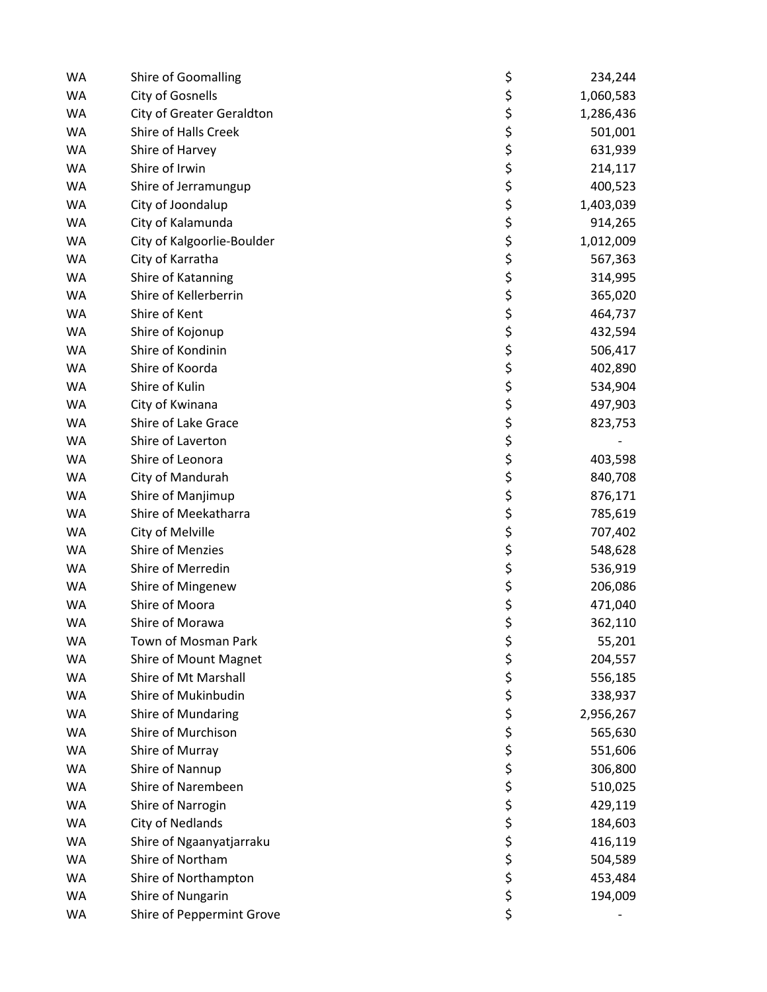| <b>WA</b> | Shire of Goomalling        | \$               | 234,244   |
|-----------|----------------------------|------------------|-----------|
| <b>WA</b> | City of Gosnells           | \$               | 1,060,583 |
| WA        | City of Greater Geraldton  | \$               | 1,286,436 |
| <b>WA</b> | Shire of Halls Creek       |                  | 501,001   |
| <b>WA</b> | Shire of Harvey            | ちゃくち             | 631,939   |
| <b>WA</b> | Shire of Irwin             |                  | 214,117   |
| <b>WA</b> | Shire of Jerramungup       |                  | 400,523   |
| WA        | City of Joondalup          |                  | 1,403,039 |
| <b>WA</b> | City of Kalamunda          |                  | 914,265   |
| <b>WA</b> | City of Kalgoorlie-Boulder |                  | 1,012,009 |
| <b>WA</b> | City of Karratha           |                  | 567,363   |
| <b>WA</b> | Shire of Katanning         |                  | 314,995   |
| <b>WA</b> | Shire of Kellerberrin      |                  | 365,020   |
| <b>WA</b> | Shire of Kent              |                  | 464,737   |
| <b>WA</b> | Shire of Kojonup           |                  | 432,594   |
| <b>WA</b> | Shire of Kondinin          |                  | 506,417   |
| <b>WA</b> | Shire of Koorda            |                  | 402,890   |
| <b>WA</b> | Shire of Kulin             |                  | 534,904   |
| <b>WA</b> | City of Kwinana            |                  | 497,903   |
| <b>WA</b> | Shire of Lake Grace        | ひゃくそう ひゃくしょう ひゃく | 823,753   |
| <b>WA</b> | Shire of Laverton          |                  |           |
| WA        | Shire of Leonora           | \$               | 403,598   |
| <b>WA</b> | City of Mandurah           |                  | 840,708   |
| <b>WA</b> | Shire of Manjimup          | ちゃちょ             | 876,171   |
| <b>WA</b> | Shire of Meekatharra       |                  | 785,619   |
| <b>WA</b> | City of Melville           |                  | 707,402   |
| <b>WA</b> | Shire of Menzies           |                  | 548,628   |
| <b>WA</b> | Shire of Merredin          |                  | 536,919   |
| <b>WA</b> | Shire of Mingenew          | \$\$\$           | 206,086   |
| <b>WA</b> | Shire of Moora             |                  | 471,040   |
| <b>WA</b> | Shire of Morawa            | \$               | 362,110   |
| <b>WA</b> | Town of Mosman Park        | \$               | 55,201    |
| <b>WA</b> | Shire of Mount Magnet      | \$               | 204,557   |
| WA        | Shire of Mt Marshall       | \$               | 556,185   |
| <b>WA</b> | Shire of Mukinbudin        | ややみや やや          | 338,937   |
| <b>WA</b> | Shire of Mundaring         |                  | 2,956,267 |
| <b>WA</b> | Shire of Murchison         |                  | 565,630   |
| <b>WA</b> | Shire of Murray            |                  | 551,606   |
| <b>WA</b> | Shire of Nannup            |                  | 306,800   |
| <b>WA</b> | Shire of Narembeen         |                  | 510,025   |
| <b>WA</b> | Shire of Narrogin          |                  | 429,119   |
| <b>WA</b> | City of Nedlands           | \$<br>\$         | 184,603   |
| <b>WA</b> | Shire of Ngaanyatjarraku   |                  | 416,119   |
| <b>WA</b> | Shire of Northam           | \$<br>\$         | 504,589   |
| <b>WA</b> | Shire of Northampton       |                  | 453,484   |
| WA        | Shire of Nungarin          | \$               | 194,009   |
| WA        | Shire of Peppermint Grove  | \$               |           |